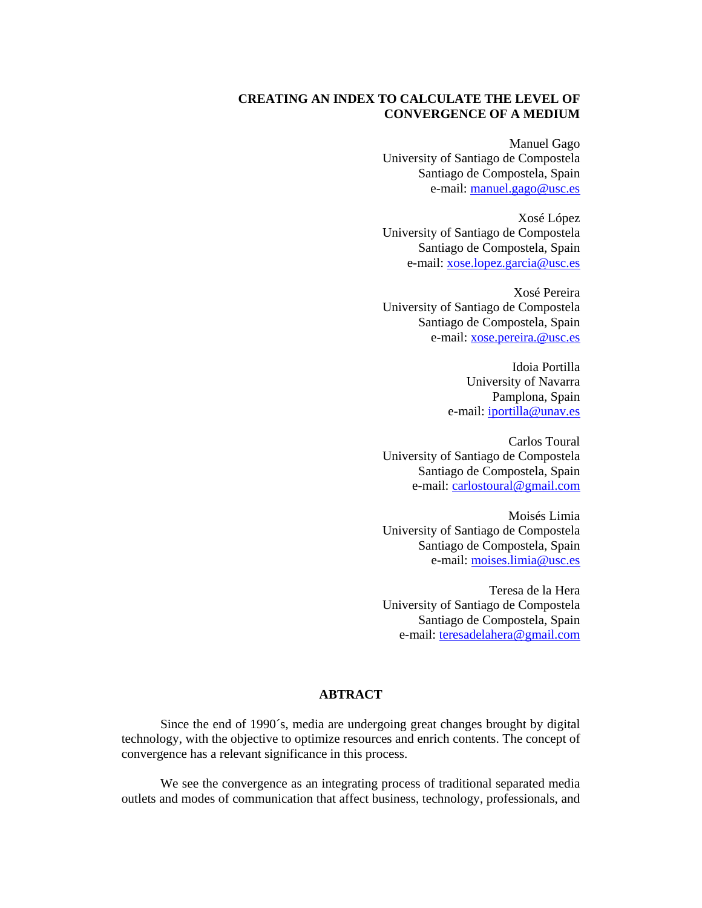# **CREATING AN INDEX TO CALCULATE THE LEVEL OF CONVERGENCE OF A MEDIUM**

Manuel Gago University of Santiago de Compostela Santiago de Compostela, Spain e-mail: manuel.gago@usc.es

Xosé López University of Santiago de Compostela Santiago de Compostela, Spain e-mail: xose.lopez.garcia@usc.es

Xosé Pereira University of Santiago de Compostela Santiago de Compostela, Spain e-mail: xose.pereira.@usc.es

> Idoia Portilla University of Navarra Pamplona, Spain e-mail: iportilla@unav.es

Carlos Toural University of Santiago de Compostela Santiago de Compostela, Spain e-mail: carlostoural@gmail.com

Moisés Limia University of Santiago de Compostela Santiago de Compostela, Spain e-mail: moises.limia@usc.es

Teresa de la Hera University of Santiago de Compostela Santiago de Compostela, Spain e-mail: teresadelahera@gmail.com

# **ABTRACT**

Since the end of 1990´s, media are undergoing great changes brought by digital technology, with the objective to optimize resources and enrich contents. The concept of convergence has a relevant significance in this process.

We see the convergence as an integrating process of traditional separated media outlets and modes of communication that affect business, technology, professionals, and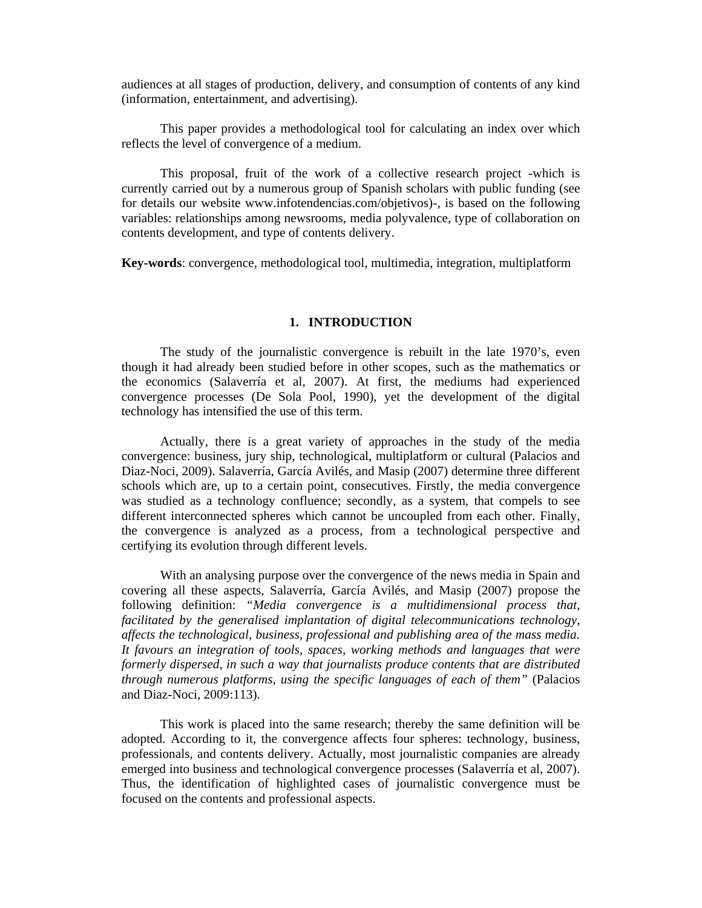audiences at all stages of production, delivery, and consumption of contents of any kind (information, entertainment, and advertising).

This paper provides a methodological tool for calculating an index over which reflects the level of convergence of a medium.

This proposal, fruit of the work of a collective research project -which is currently carried out by a numerous group of Spanish scholars with public funding (see for details our website www.infotendencias.com/objetivos)-, is based on the following variables: relationships among newsrooms, media polyvalence, type of collaboration on contents development, and type of contents delivery.

**Key-words**: convergence, methodological tool, multimedia, integration, multiplatform

## **1. INTRODUCTION**

The study of the journalistic convergence is rebuilt in the late 1970's, even though it had already been studied before in other scopes, such as the mathematics or the economics (Salaverría et al, 2007). At first, the mediums had experienced convergence processes (De Sola Pool, 1990), yet the development of the digital technology has intensified the use of this term.

Actually, there is a great variety of approaches in the study of the media convergence: business, jury ship, technological, multiplatform or cultural (Palacios and Diaz-Noci, 2009). Salaverría, García Avilés, and Masip (2007) determine three different schools which are, up to a certain point, consecutives. Firstly, the media convergence was studied as a technology confluence; secondly, as a system, that compels to see different interconnected spheres which cannot be uncoupled from each other. Finally, the convergence is analyzed as a process, from a technological perspective and certifying its evolution through different levels.

With an analysing purpose over the convergence of the news media in Spain and covering all these aspects, Salaverría, García Avilés, and Masip (2007) propose the following definition: *"Media convergence is a multidimensional process that, facilitated by the generalised implantation of digital telecommunications technology, affects the technological, business, professional and publishing area of the mass media. It favours an integration of tools, spaces, working methods and languages that were formerly dispersed, in such a way that journalists produce contents that are distributed through numerous platforms, using the specific languages of each of them"* (Palacios and Diaz-Noci, 2009:113).

This work is placed into the same research; thereby the same definition will be adopted. According to it, the convergence affects four spheres: technology, business, professionals, and contents delivery. Actually, most journalistic companies are already emerged into business and technological convergence processes (Salaverría et al, 2007). Thus, the identification of highlighted cases of journalistic convergence must be focused on the contents and professional aspects.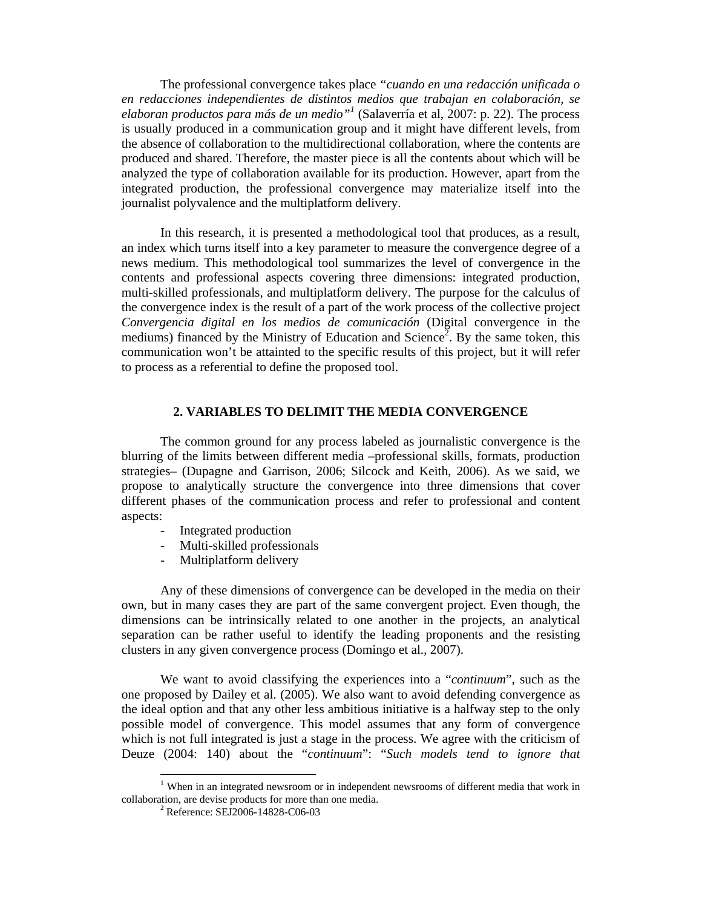The professional convergence takes place *"cuando en una redacción unificada o en redacciones independientes de distintos medios que trabajan en colaboración, se elaboran productos para más de un medio"<sup>1</sup>* (Salaverría et al, 2007: p. 22). The process is usually produced in a communication group and it might have different levels, from the absence of collaboration to the multidirectional collaboration, where the contents are produced and shared. Therefore, the master piece is all the contents about which will be analyzed the type of collaboration available for its production. However, apart from the integrated production, the professional convergence may materialize itself into the journalist polyvalence and the multiplatform delivery.

In this research, it is presented a methodological tool that produces, as a result, an index which turns itself into a key parameter to measure the convergence degree of a news medium. This methodological tool summarizes the level of convergence in the contents and professional aspects covering three dimensions: integrated production, multi-skilled professionals, and multiplatform delivery. The purpose for the calculus of the convergence index is the result of a part of the work process of the collective project *Convergencia digital en los medios de comunicación* (Digital convergence in the mediums) financed by the Ministry of Education and Science<sup>2</sup>. By the same token, this communication won't be attainted to the specific results of this project, but it will refer to process as a referential to define the proposed tool.

#### **2. VARIABLES TO DELIMIT THE MEDIA CONVERGENCE**

The common ground for any process labeled as journalistic convergence is the blurring of the limits between different media –professional skills, formats, production strategies– (Dupagne and Garrison, 2006; Silcock and Keith, 2006). As we said, we propose to analytically structure the convergence into three dimensions that cover different phases of the communication process and refer to professional and content aspects:

- Integrated production
- Multi-skilled professionals
- Multiplatform delivery

Any of these dimensions of convergence can be developed in the media on their own, but in many cases they are part of the same convergent project. Even though, the dimensions can be intrinsically related to one another in the projects, an analytical separation can be rather useful to identify the leading proponents and the resisting clusters in any given convergence process (Domingo et al., 2007).

We want to avoid classifying the experiences into a "*continuum*", such as the one proposed by Dailey et al. (2005). We also want to avoid defending convergence as the ideal option and that any other less ambitious initiative is a halfway step to the only possible model of convergence. This model assumes that any form of convergence which is not full integrated is just a stage in the process. We agree with the criticism of Deuze (2004: 140) about the "*continuum*": "*Such models tend to ignore that* 

 $1$  When in an integrated newsroom or in independent newsrooms of different media that work in collaboration, are devise products for more than one media.

<sup>&</sup>lt;sup>2</sup> Reference: SEJ2006-14828-C06-03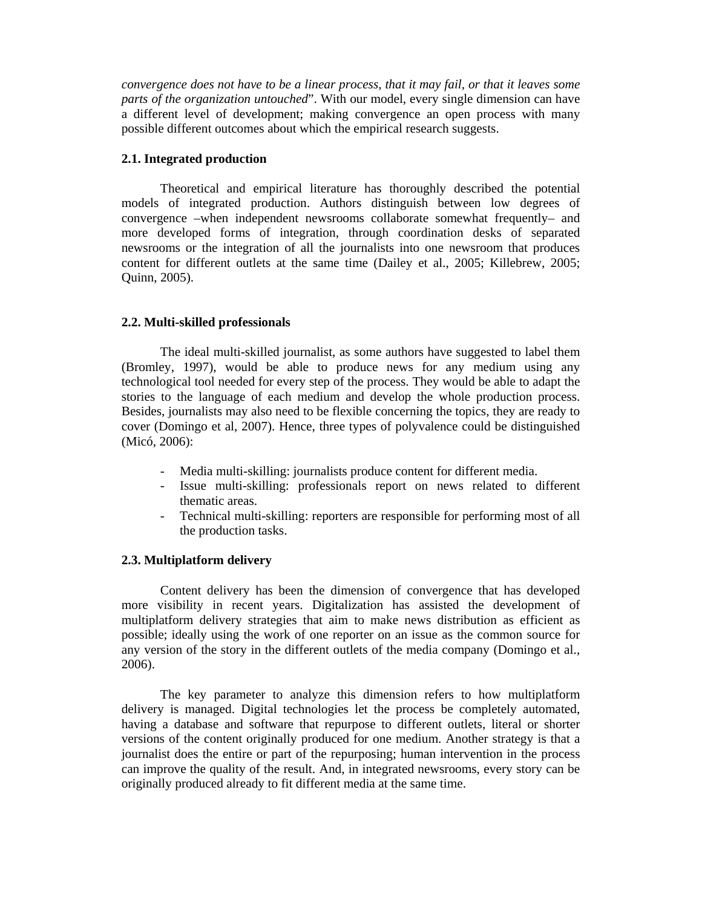*convergence does not have to be a linear process, that it may fail, or that it leaves some parts of the organization untouched*". With our model, every single dimension can have a different level of development; making convergence an open process with many possible different outcomes about which the empirical research suggests.

# **2.1. Integrated production**

Theoretical and empirical literature has thoroughly described the potential models of integrated production. Authors distinguish between low degrees of convergence –when independent newsrooms collaborate somewhat frequently– and more developed forms of integration, through coordination desks of separated newsrooms or the integration of all the journalists into one newsroom that produces content for different outlets at the same time (Dailey et al., 2005; Killebrew, 2005; Quinn, 2005).

## **2.2. Multi-skilled professionals**

The ideal multi-skilled journalist, as some authors have suggested to label them (Bromley, 1997), would be able to produce news for any medium using any technological tool needed for every step of the process. They would be able to adapt the stories to the language of each medium and develop the whole production process. Besides, journalists may also need to be flexible concerning the topics, they are ready to cover (Domingo et al, 2007). Hence, three types of polyvalence could be distinguished (Micó, 2006):

- Media multi-skilling: journalists produce content for different media.
- Issue multi-skilling: professionals report on news related to different thematic areas.
- Technical multi-skilling: reporters are responsible for performing most of all the production tasks.

# **2.3. Multiplatform delivery**

Content delivery has been the dimension of convergence that has developed more visibility in recent years. Digitalization has assisted the development of multiplatform delivery strategies that aim to make news distribution as efficient as possible; ideally using the work of one reporter on an issue as the common source for any version of the story in the different outlets of the media company (Domingo et al., 2006).

The key parameter to analyze this dimension refers to how multiplatform delivery is managed. Digital technologies let the process be completely automated, having a database and software that repurpose to different outlets, literal or shorter versions of the content originally produced for one medium. Another strategy is that a journalist does the entire or part of the repurposing; human intervention in the process can improve the quality of the result. And, in integrated newsrooms, every story can be originally produced already to fit different media at the same time.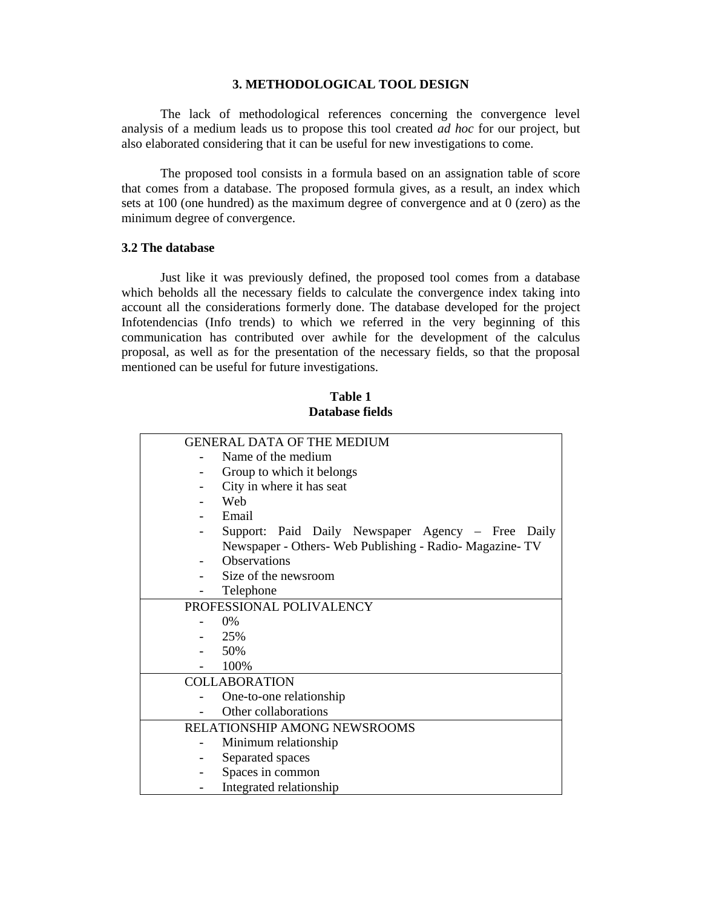#### **3. METHODOLOGICAL TOOL DESIGN**

The lack of methodological references concerning the convergence level analysis of a medium leads us to propose this tool created *ad hoc* for our project, but also elaborated considering that it can be useful for new investigations to come.

The proposed tool consists in a formula based on an assignation table of score that comes from a database. The proposed formula gives, as a result, an index which sets at 100 (one hundred) as the maximum degree of convergence and at 0 (zero) as the minimum degree of convergence.

## **3.2 The database**

Just like it was previously defined, the proposed tool comes from a database which beholds all the necessary fields to calculate the convergence index taking into account all the considerations formerly done. The database developed for the project Infotendencias (Info trends) to which we referred in the very beginning of this communication has contributed over awhile for the development of the calculus proposal, as well as for the presentation of the necessary fields, so that the proposal mentioned can be useful for future investigations.

| Table 1         |
|-----------------|
| Database fields |

| <b>GENERAL DATA OF THE MEDIUM</b> |                                                          |  |  |  |
|-----------------------------------|----------------------------------------------------------|--|--|--|
|                                   | Name of the medium                                       |  |  |  |
|                                   | Group to which it belongs                                |  |  |  |
|                                   | City in where it has seat                                |  |  |  |
|                                   | Web                                                      |  |  |  |
|                                   | Email                                                    |  |  |  |
|                                   | Support: Paid Daily Newspaper Agency - Free Daily        |  |  |  |
|                                   | Newspaper - Others- Web Publishing - Radio- Magazine- TV |  |  |  |
|                                   | <b>Observations</b>                                      |  |  |  |
|                                   | Size of the newsroom                                     |  |  |  |
|                                   | Telephone                                                |  |  |  |
| PROFESSIONAL POLIVALENCY          |                                                          |  |  |  |
|                                   | $0\%$                                                    |  |  |  |
|                                   | 25%                                                      |  |  |  |
|                                   | 50%                                                      |  |  |  |
|                                   | 100%                                                     |  |  |  |
| <b>COLLABORATION</b>              |                                                          |  |  |  |
|                                   | One-to-one relationship                                  |  |  |  |
|                                   | Other collaborations                                     |  |  |  |
| RELATIONSHIP AMONG NEWSROOMS      |                                                          |  |  |  |
|                                   | Minimum relationship                                     |  |  |  |
|                                   | Separated spaces                                         |  |  |  |
|                                   | Spaces in common                                         |  |  |  |
|                                   | Integrated relationship                                  |  |  |  |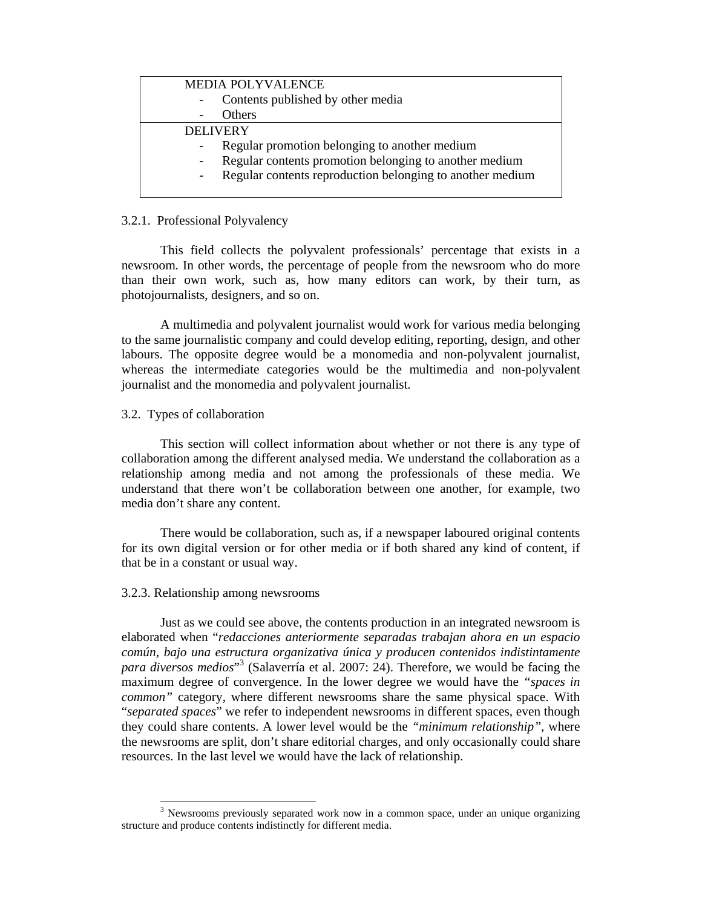| <b>MEDIA POLYVALENCE</b>                                  |  |  |
|-----------------------------------------------------------|--|--|
| Contents published by other media                         |  |  |
| <b>Others</b>                                             |  |  |
| <b>DELIVERY</b>                                           |  |  |
| Regular promotion belonging to another medium             |  |  |
| Regular contents promotion belonging to another medium    |  |  |
| Regular contents reproduction belonging to another medium |  |  |
|                                                           |  |  |

### 3.2.1. Professional Polyvalency

This field collects the polyvalent professionals' percentage that exists in a newsroom. In other words, the percentage of people from the newsroom who do more than their own work, such as, how many editors can work, by their turn, as photojournalists, designers, and so on.

A multimedia and polyvalent journalist would work for various media belonging to the same journalistic company and could develop editing, reporting, design, and other labours. The opposite degree would be a monomedia and non-polyvalent journalist, whereas the intermediate categories would be the multimedia and non-polyvalent journalist and the monomedia and polyvalent journalist.

## 3.2. Types of collaboration

This section will collect information about whether or not there is any type of collaboration among the different analysed media. We understand the collaboration as a relationship among media and not among the professionals of these media. We understand that there won't be collaboration between one another, for example, two media don't share any content.

There would be collaboration, such as, if a newspaper laboured original contents for its own digital version or for other media or if both shared any kind of content, if that be in a constant or usual way.

# 3.2.3. Relationship among newsrooms

Just as we could see above, the contents production in an integrated newsroom is elaborated when "*redacciones anteriormente separadas trabajan ahora en un espacio común, bajo una estructura organizativa única y producen contenidos indistintamente para diversos medios*" 3 (Salaverría et al. 2007: 24). Therefore, we would be facing the maximum degree of convergence. In the lower degree we would have the *"spaces in common"* category, where different newsrooms share the same physical space. With "*separated spaces*" we refer to independent newsrooms in different spaces, even though they could share contents. A lower level would be the *"minimum relationship"*, where the newsrooms are split, don't share editorial charges, and only occasionally could share resources. In the last level we would have the lack of relationship.

<sup>&</sup>lt;sup>3</sup> Newsrooms previously separated work now in a common space, under an unique organizing structure and produce contents indistinctly for different media.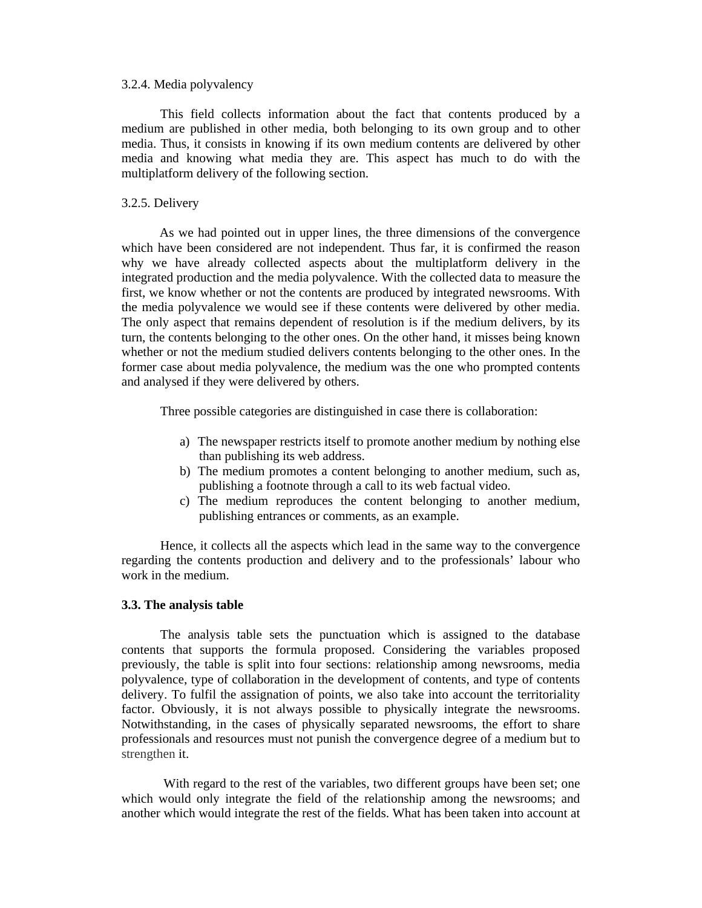#### 3.2.4. Media polyvalency

This field collects information about the fact that contents produced by a medium are published in other media, both belonging to its own group and to other media. Thus, it consists in knowing if its own medium contents are delivered by other media and knowing what media they are. This aspect has much to do with the multiplatform delivery of the following section.

### 3.2.5. Delivery

As we had pointed out in upper lines, the three dimensions of the convergence which have been considered are not independent. Thus far, it is confirmed the reason why we have already collected aspects about the multiplatform delivery in the integrated production and the media polyvalence. With the collected data to measure the first, we know whether or not the contents are produced by integrated newsrooms. With the media polyvalence we would see if these contents were delivered by other media. The only aspect that remains dependent of resolution is if the medium delivers, by its turn, the contents belonging to the other ones. On the other hand, it misses being known whether or not the medium studied delivers contents belonging to the other ones. In the former case about media polyvalence, the medium was the one who prompted contents and analysed if they were delivered by others.

Three possible categories are distinguished in case there is collaboration:

- a) The newspaper restricts itself to promote another medium by nothing else than publishing its web address.
- b) The medium promotes a content belonging to another medium, such as, publishing a footnote through a call to its web factual video.
- c) The medium reproduces the content belonging to another medium, publishing entrances or comments, as an example.

Hence, it collects all the aspects which lead in the same way to the convergence regarding the contents production and delivery and to the professionals' labour who work in the medium.

#### **3.3. The analysis table**

The analysis table sets the punctuation which is assigned to the database contents that supports the formula proposed. Considering the variables proposed previously, the table is split into four sections: relationship among newsrooms, media polyvalence, type of collaboration in the development of contents, and type of contents delivery. To fulfil the assignation of points, we also take into account the territoriality factor. Obviously, it is not always possible to physically integrate the newsrooms. Notwithstanding, in the cases of physically separated newsrooms, the effort to share professionals and resources must not punish the convergence degree of a medium but to strengthen it.

With regard to the rest of the variables, two different groups have been set; one which would only integrate the field of the relationship among the newsrooms; and another which would integrate the rest of the fields. What has been taken into account at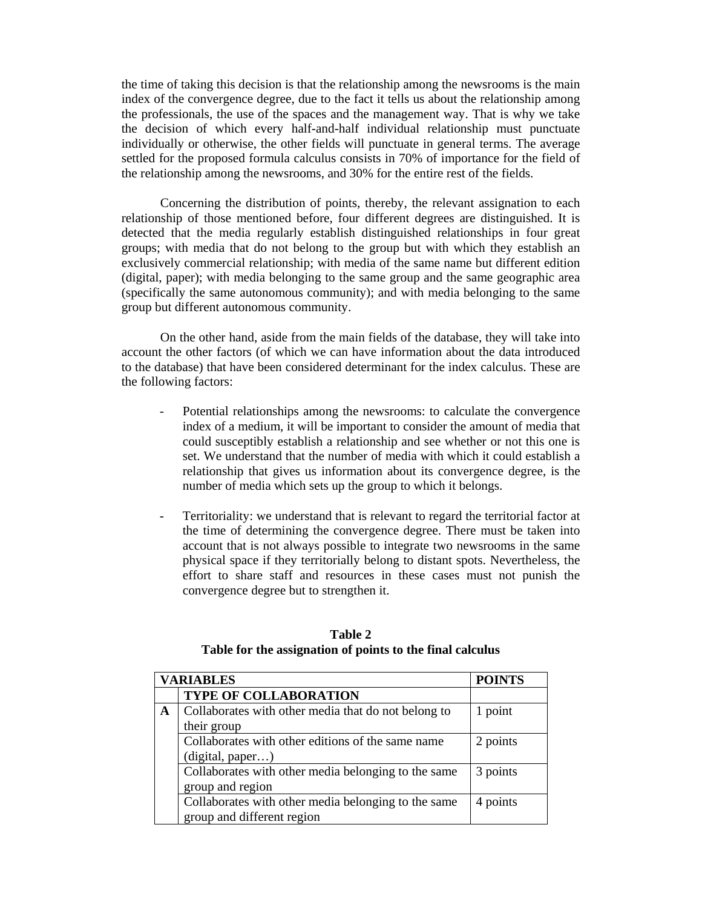the time of taking this decision is that the relationship among the newsrooms is the main index of the convergence degree, due to the fact it tells us about the relationship among the professionals, the use of the spaces and the management way. That is why we take the decision of which every half-and-half individual relationship must punctuate individually or otherwise, the other fields will punctuate in general terms. The average settled for the proposed formula calculus consists in 70% of importance for the field of the relationship among the newsrooms, and 30% for the entire rest of the fields.

Concerning the distribution of points, thereby, the relevant assignation to each relationship of those mentioned before, four different degrees are distinguished. It is detected that the media regularly establish distinguished relationships in four great groups; with media that do not belong to the group but with which they establish an exclusively commercial relationship; with media of the same name but different edition (digital, paper); with media belonging to the same group and the same geographic area (specifically the same autonomous community); and with media belonging to the same group but different autonomous community.

On the other hand, aside from the main fields of the database, they will take into account the other factors (of which we can have information about the data introduced to the database) that have been considered determinant for the index calculus. These are the following factors:

- Potential relationships among the newsrooms: to calculate the convergence index of a medium, it will be important to consider the amount of media that could susceptibly establish a relationship and see whether or not this one is set. We understand that the number of media with which it could establish a relationship that gives us information about its convergence degree, is the number of media which sets up the group to which it belongs.
- Territoriality: we understand that is relevant to regard the territorial factor at the time of determining the convergence degree. There must be taken into account that is not always possible to integrate two newsrooms in the same physical space if they territorially belong to distant spots. Nevertheless, the effort to share staff and resources in these cases must not punish the convergence degree but to strengthen it.

| <b>VARIABLES</b> | <b>POINTS</b>                                       |          |
|------------------|-----------------------------------------------------|----------|
|                  | <b>TYPE OF COLLABORATION</b>                        |          |
| A                | Collaborates with other media that do not belong to | 1 point  |
|                  | their group                                         |          |
|                  | Collaborates with other editions of the same name   | 2 points |
|                  | (digital, paper)                                    |          |
|                  | Collaborates with other media belonging to the same | 3 points |
|                  | group and region                                    |          |
|                  | Collaborates with other media belonging to the same | 4 points |
|                  | group and different region                          |          |

**Table 2 Table for the assignation of points to the final calculus**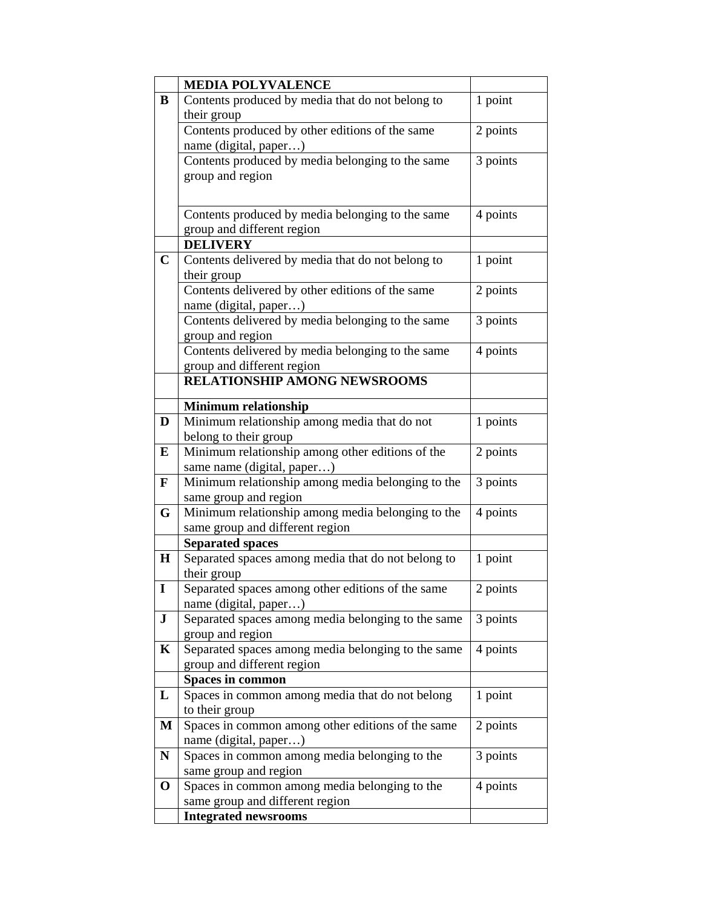|              | <b>MEDIA POLYVALENCE</b>                                         |          |
|--------------|------------------------------------------------------------------|----------|
| B            | Contents produced by media that do not belong to                 | 1 point  |
|              | their group                                                      |          |
|              | Contents produced by other editions of the same                  | 2 points |
|              | name (digital, paper)                                            |          |
|              | Contents produced by media belonging to the same                 | 3 points |
|              | group and region                                                 |          |
|              |                                                                  |          |
|              |                                                                  | 4 points |
|              | Contents produced by media belonging to the same                 |          |
|              | group and different region<br><b>DELIVERY</b>                    |          |
| $\mathbf C$  |                                                                  |          |
|              | Contents delivered by media that do not belong to<br>their group | 1 point  |
|              | Contents delivered by other editions of the same                 | 2 points |
|              | name (digital, paper)                                            |          |
|              | Contents delivered by media belonging to the same                | 3 points |
|              | group and region                                                 |          |
|              | Contents delivered by media belonging to the same                | 4 points |
|              | group and different region                                       |          |
|              | RELATIONSHIP AMONG NEWSROOMS                                     |          |
|              |                                                                  |          |
|              | <b>Minimum relationship</b>                                      |          |
| D            | Minimum relationship among media that do not                     | 1 points |
|              | belong to their group                                            |          |
| ${\bf E}$    | Minimum relationship among other editions of the                 | 2 points |
|              | same name (digital, paper)                                       |          |
| $\mathbf{F}$ | Minimum relationship among media belonging to the                | 3 points |
|              | same group and region                                            |          |
| G            | Minimum relationship among media belonging to the                | 4 points |
|              | same group and different region                                  |          |
|              | <b>Separated spaces</b>                                          |          |
| $\mathbf H$  | Separated spaces among media that do not belong to               | 1 point  |
| L            | their group<br>Separated spaces among other editions of the same |          |
|              | name (digital, paper)                                            | 2 points |
| ${\bf J}$    | Separated spaces among media belonging to the same               | 3 points |
|              | group and region                                                 |          |
| $\mathbf K$  | Separated spaces among media belonging to the same               | 4 points |
|              | group and different region                                       |          |
|              | <b>Spaces in common</b>                                          |          |
| L            | Spaces in common among media that do not belong                  | 1 point  |
|              | to their group                                                   |          |
| M            | Spaces in common among other editions of the same                | 2 points |
|              | name (digital, paper)                                            |          |
| N            | Spaces in common among media belonging to the                    | 3 points |
|              | same group and region                                            |          |
| $\mathbf 0$  | Spaces in common among media belonging to the                    | 4 points |
|              | same group and different region                                  |          |
|              | <b>Integrated newsrooms</b>                                      |          |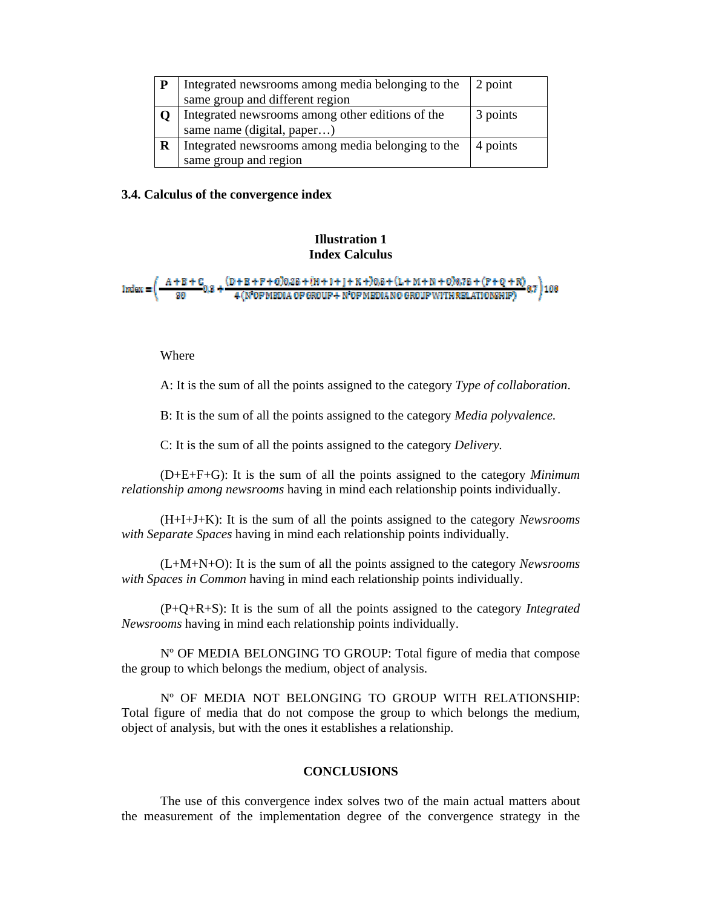| P | Integrated newsrooms among media belonging to the | 2 point  |
|---|---------------------------------------------------|----------|
|   | same group and different region                   |          |
|   | Integrated newsrooms among other editions of the  | 3 points |
|   | same name (digital, paper)                        |          |
| R | Integrated newsrooms among media belonging to the | 4 points |
|   | same group and region                             |          |

#### **3.4. Calculus of the convergence index**

# **Illustration 1 Index Calculus**

 $\frac{(D+B+F+G)0.2E+(H+1+j+K+)0.8+(L+M+N+G)0.7E+(F+Q+R)}{4(N^2OFMBDIA OF GROUP + N^2OFMBDIANO GROUPWITHRELATIONSHIP)} 0.7$ 

### Where

A: It is the sum of all the points assigned to the category *Type of collaboration*.

B: It is the sum of all the points assigned to the category *Media polyvalence.* 

C: It is the sum of all the points assigned to the category *Delivery.* 

(D+E+F+G): It is the sum of all the points assigned to the category *Minimum relationship among newsrooms* having in mind each relationship points individually.

(H+I+J+K): It is the sum of all the points assigned to the category *Newsrooms with Separate Spaces* having in mind each relationship points individually.

(L+M+N+O): It is the sum of all the points assigned to the category *Newsrooms with Spaces in Common* having in mind each relationship points individually.

(P+Q+R+S): It is the sum of all the points assigned to the category *Integrated Newsrooms* having in mind each relationship points individually.

Nº OF MEDIA BELONGING TO GROUP: Total figure of media that compose the group to which belongs the medium, object of analysis.

Nº OF MEDIA NOT BELONGING TO GROUP WITH RELATIONSHIP: Total figure of media that do not compose the group to which belongs the medium, object of analysis, but with the ones it establishes a relationship.

# **CONCLUSIONS**

The use of this convergence index solves two of the main actual matters about the measurement of the implementation degree of the convergence strategy in the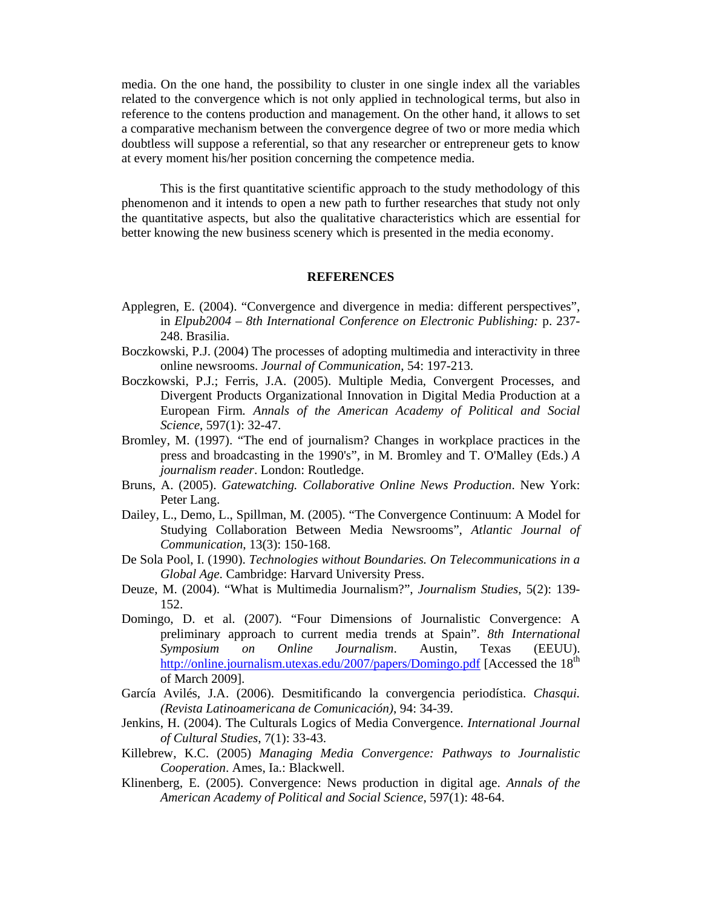media. On the one hand, the possibility to cluster in one single index all the variables related to the convergence which is not only applied in technological terms, but also in reference to the contens production and management. On the other hand, it allows to set a comparative mechanism between the convergence degree of two or more media which doubtless will suppose a referential, so that any researcher or entrepreneur gets to know at every moment his/her position concerning the competence media.

This is the first quantitative scientific approach to the study methodology of this phenomenon and it intends to open a new path to further researches that study not only the quantitative aspects, but also the qualitative characteristics which are essential for better knowing the new business scenery which is presented in the media economy.

#### **REFERENCES**

- Applegren, E. (2004). "Convergence and divergence in media: different perspectives", in *Elpub2004 – 8th International Conference on Electronic Publishing:* p. 237- 248. Brasilia.
- Boczkowski, P.J. (2004) The processes of adopting multimedia and interactivity in three online newsrooms. *Journal of Communication*, 54: 197-213.
- Boczkowski, P.J.; Ferris, J.A. (2005). Multiple Media, Convergent Processes, and Divergent Products Organizational Innovation in Digital Media Production at a European Firm*. Annals of the American Academy of Political and Social Science*, 597(1): 32-47.
- Bromley, M. (1997). "The end of journalism? Changes in workplace practices in the press and broadcasting in the 1990's", in M. Bromley and T. O'Malley (Eds.) *A journalism reader*. London: Routledge.
- Bruns, A. (2005). *Gatewatching. Collaborative Online News Production*. New York: Peter Lang.
- Dailey, L., Demo, L., Spillman, M. (2005). "The Convergence Continuum: A Model for Studying Collaboration Between Media Newsrooms", *Atlantic Journal of Communication*, 13(3): 150-168.
- De Sola Pool, I. (1990). *Technologies without Boundaries. On Telecommunications in a Global Age*. Cambridge: Harvard University Press.
- Deuze, M. (2004). "What is Multimedia Journalism?", *Journalism Studies*, 5(2): 139- 152.
- Domingo, D. et al. (2007). "Four Dimensions of Journalistic Convergence: A preliminary approach to current media trends at Spain". *8th International Symposium on Online Journalism*. Austin, Texas (EEUU). http://online.journalism.utexas.edu/2007/papers/Domingo.pdf [Accessed the 18<sup>th</sup> of March 2009].
- García Avilés, J.A. (2006). Desmitificando la convergencia periodística. *Chasqui. (Revista Latinoamericana de Comunicación)*, 94: 34-39.
- Jenkins, H. (2004). The Culturals Logics of Media Convergence. *International Journal of Cultural Studies*, 7(1): 33-43.
- Killebrew, K.C. (2005) *Managing Media Convergence: Pathways to Journalistic Cooperation*. Ames, Ia.: Blackwell.
- Klinenberg, E. (2005). Convergence: News production in digital age. *Annals of the American Academy of Political and Social Science*, 597(1): 48-64.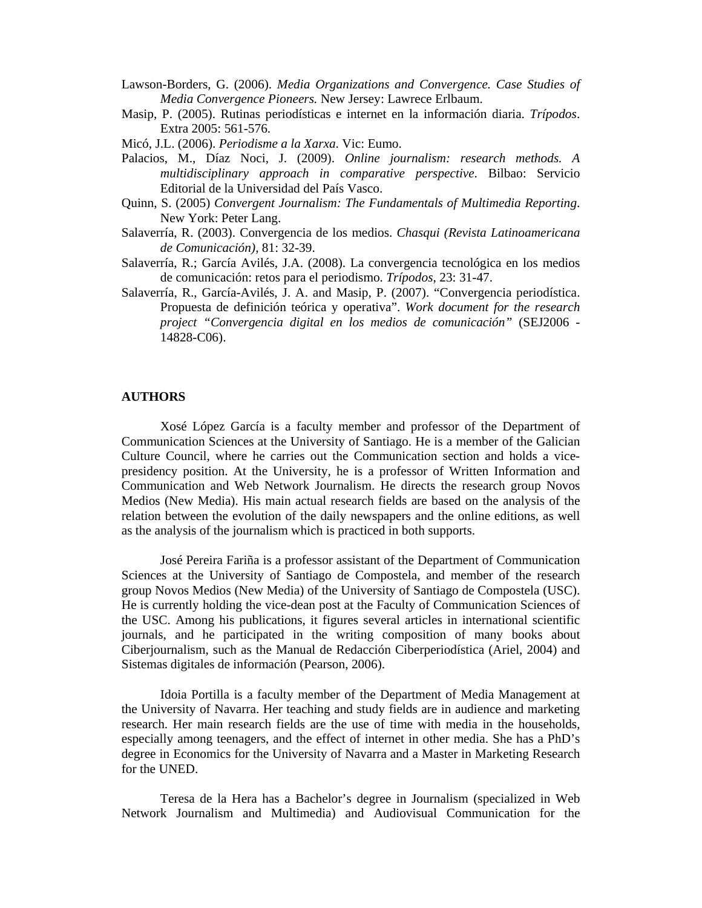- Lawson-Borders, G. (2006). *Media Organizations and Convergence. Case Studies of Media Convergence Pioneers.* New Jersey: Lawrece Erlbaum.
- Masip, P. (2005). Rutinas periodísticas e internet en la información diaria. *Trípodos*. Extra 2005: 561-576.
- Micó, J.L. (2006). *Periodisme a la Xarxa*. Vic: Eumo.
- Palacios, M., Díaz Noci, J. (2009). *Online journalism: research methods. A multidisciplinary approach in comparative perspective*. Bilbao: Servicio Editorial de la Universidad del País Vasco.
- Quinn, S. (2005) *Convergent Journalism: The Fundamentals of Multimedia Reporting*. New York: Peter Lang.
- Salaverría, R. (2003). Convergencia de los medios. *Chasqui (Revista Latinoamericana de Comunicación)*, 81: 32-39.
- Salaverría, R.; García Avilés, J.A. (2008). La convergencia tecnológica en los medios de comunicación: retos para el periodismo. *Trípodos*, 23: 31-47.
- Salaverría, R., García-Avilés, J. A. and Masip, P. (2007). "Convergencia periodística. Propuesta de definición teórica y operativa". *Work document for the research project "Convergencia digital en los medios de comunicación"* (SEJ2006 - 14828-C06).

#### **AUTHORS**

Xosé López García is a faculty member and professor of the Department of Communication Sciences at the University of Santiago. He is a member of the Galician Culture Council, where he carries out the Communication section and holds a vicepresidency position. At the University, he is a professor of Written Information and Communication and Web Network Journalism. He directs the research group Novos Medios (New Media). His main actual research fields are based on the analysis of the relation between the evolution of the daily newspapers and the online editions, as well as the analysis of the journalism which is practiced in both supports.

José Pereira Fariña is a professor assistant of the Department of Communication Sciences at the University of Santiago de Compostela, and member of the research group Novos Medios (New Media) of the University of Santiago de Compostela (USC). He is currently holding the vice-dean post at the Faculty of Communication Sciences of the USC. Among his publications, it figures several articles in international scientific journals, and he participated in the writing composition of many books about Ciberjournalism, such as the Manual de Redacción Ciberperiodística (Ariel, 2004) and Sistemas digitales de información (Pearson, 2006).

Idoia Portilla is a faculty member of the Department of Media Management at the University of Navarra. Her teaching and study fields are in audience and marketing research. Her main research fields are the use of time with media in the households, especially among teenagers, and the effect of internet in other media. She has a PhD's degree in Economics for the University of Navarra and a Master in Marketing Research for the UNED.

Teresa de la Hera has a Bachelor's degree in Journalism (specialized in Web Network Journalism and Multimedia) and Audiovisual Communication for the